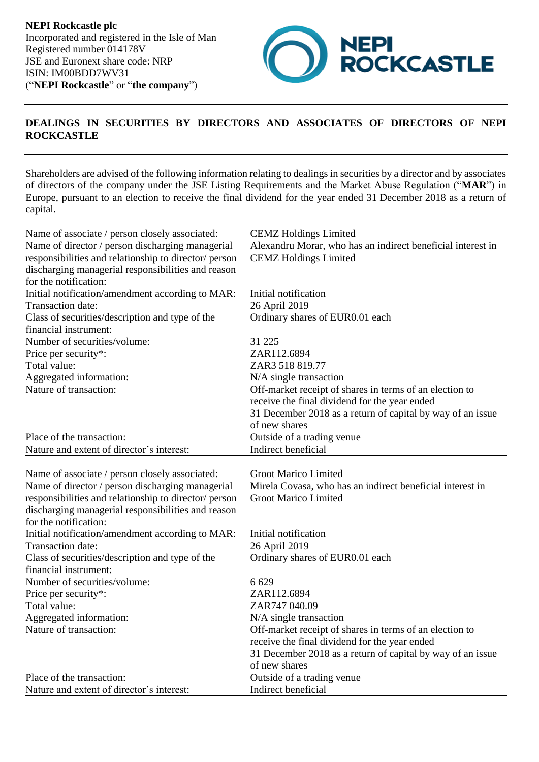**NEPI Rockcastle plc** Incorporated and registered in the Isle of Man Registered number 014178V JSE and Euronext share code: NRP ISIN: IM00BDD7WV31 ("**NEPI Rockcastle**" or "**the company**")



## **DEALINGS IN SECURITIES BY DIRECTORS AND ASSOCIATES OF DIRECTORS OF NEPI ROCKCASTLE**

Shareholders are advised of the following information relating to dealings in securities by a director and by associates of directors of the company under the JSE Listing Requirements and the Market Abuse Regulation ("**MAR**") in Europe, pursuant to an election to receive the final dividend for the year ended 31 December 2018 as a return of capital.

| Name of associate / person closely associated:        | <b>CEMZ</b> Holdings Limited                                |
|-------------------------------------------------------|-------------------------------------------------------------|
| Name of director / person discharging managerial      | Alexandru Morar, who has an indirect beneficial interest in |
| responsibilities and relationship to director/ person | <b>CEMZ</b> Holdings Limited                                |
| discharging managerial responsibilities and reason    |                                                             |
| for the notification:                                 |                                                             |
| Initial notification/amendment according to MAR:      | Initial notification                                        |
| Transaction date:                                     | 26 April 2019                                               |
| Class of securities/description and type of the       | Ordinary shares of EUR0.01 each                             |
| financial instrument:                                 |                                                             |
| Number of securities/volume:                          | 31 225                                                      |
| Price per security*:                                  | ZAR112.6894                                                 |
| Total value:                                          | ZAR3 518 819.77                                             |
| Aggregated information:                               | N/A single transaction                                      |
| Nature of transaction:                                | Off-market receipt of shares in terms of an election to     |
|                                                       | receive the final dividend for the year ended               |
|                                                       | 31 December 2018 as a return of capital by way of an issue  |
|                                                       | of new shares                                               |
| Place of the transaction:                             | Outside of a trading venue                                  |
| Nature and extent of director's interest:             | Indirect beneficial                                         |
|                                                       |                                                             |
| Name of associate / person closely associated:        | <b>Groot Marico Limited</b>                                 |
| Name of director / person discharging managerial      | Mirela Covasa, who has an indirect beneficial interest in   |
| responsibilities and relationship to director/ person | <b>Groot Marico Limited</b>                                 |
| discharging managerial responsibilities and reason    |                                                             |
| for the notification:                                 |                                                             |
| Initial notification/amendment according to MAR:      | Initial notification                                        |
| Transaction date:                                     | 26 April 2019                                               |
| Class of securities/description and type of the       | Ordinary shares of EUR0.01 each                             |
| financial instrument:                                 |                                                             |
| Number of securities/volume:                          | 6 6 29                                                      |
| Price per security*:                                  | ZAR112.6894                                                 |
| Total value:                                          | ZAR747 040.09                                               |
| Aggregated information:                               | N/A single transaction                                      |
| Nature of transaction:                                | Off-market receipt of shares in terms of an election to     |
|                                                       | receive the final dividend for the year ended               |
|                                                       | 31 December 2018 as a return of capital by way of an issue  |
|                                                       | of new shares                                               |
| Place of the transaction:                             |                                                             |
| Nature and extent of director's interest:             | Outside of a trading venue<br>Indirect beneficial           |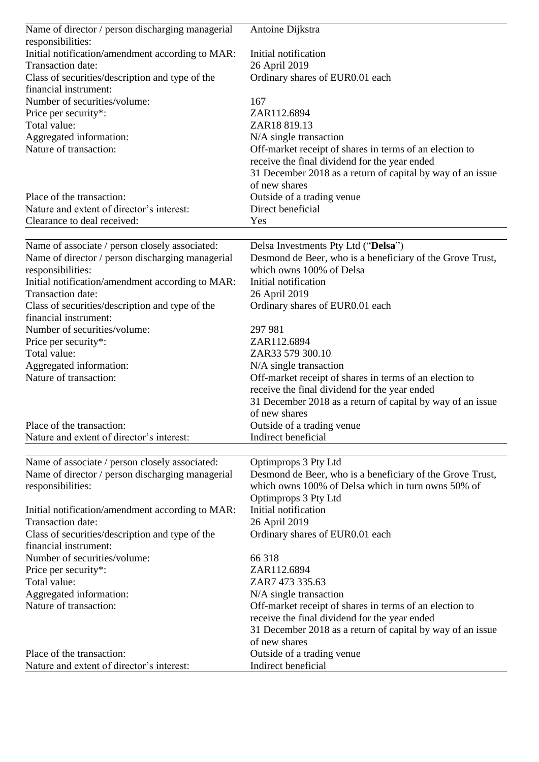| Name of director / person discharging managerial | Antoine Dijkstra                                           |
|--------------------------------------------------|------------------------------------------------------------|
| responsibilities:                                |                                                            |
| Initial notification/amendment according to MAR: | Initial notification                                       |
| Transaction date:                                | 26 April 2019                                              |
| Class of securities/description and type of the  | Ordinary shares of EUR0.01 each                            |
| financial instrument:                            |                                                            |
| Number of securities/volume:                     | 167                                                        |
| Price per security*:                             | ZAR112.6894                                                |
| Total value:                                     | ZAR18 819.13                                               |
| Aggregated information:                          | N/A single transaction                                     |
| Nature of transaction:                           | Off-market receipt of shares in terms of an election to    |
|                                                  | receive the final dividend for the year ended              |
|                                                  | 31 December 2018 as a return of capital by way of an issue |
|                                                  | of new shares                                              |
| Place of the transaction:                        | Outside of a trading venue                                 |
| Nature and extent of director's interest:        | Direct beneficial                                          |
| Clearance to deal received:                      | Yes                                                        |
|                                                  |                                                            |
| Name of associate / person closely associated:   | Delsa Investments Pty Ltd ("Delsa")                        |
| Name of director / person discharging managerial | Desmond de Beer, who is a beneficiary of the Grove Trust,  |
| responsibilities:                                | which owns 100% of Delsa                                   |
| Initial notification/amendment according to MAR: | Initial notification                                       |
| Transaction date:                                | 26 April 2019                                              |
| Class of securities/description and type of the  | Ordinary shares of EUR0.01 each                            |
| financial instrument:                            |                                                            |
| Number of securities/volume:                     | 297 981                                                    |
| Price per security*:                             | ZAR112.6894                                                |
| Total value:                                     | ZAR33 579 300.10                                           |
| Aggregated information:                          | N/A single transaction                                     |
| Nature of transaction:                           | Off-market receipt of shares in terms of an election to    |
|                                                  | receive the final dividend for the year ended              |
|                                                  | 31 December 2018 as a return of capital by way of an issue |
|                                                  | of new shares                                              |
| Place of the transaction:                        | Outside of a trading venue                                 |
| Nature and extent of director's interest:        | Indirect beneficial                                        |
| Name of associate / person closely associated:   | Optimprops 3 Pty Ltd                                       |
| Name of director / person discharging managerial | Desmond de Beer, who is a beneficiary of the Grove Trust,  |
| responsibilities:                                | which owns 100% of Delsa which in turn owns 50% of         |
|                                                  | Optimprops 3 Pty Ltd                                       |
| Initial notification/amendment according to MAR: | Initial notification                                       |
| Transaction date:                                | 26 April 2019                                              |
| Class of securities/description and type of the  | Ordinary shares of EUR0.01 each                            |
| financial instrument:                            |                                                            |
| Number of securities/volume:                     | 66 318                                                     |
| Price per security*:                             | ZAR112.6894                                                |
| Total value:                                     | ZAR7 473 335.63                                            |
| Aggregated information:                          | N/A single transaction                                     |
| Nature of transaction:                           | Off-market receipt of shares in terms of an election to    |
|                                                  | receive the final dividend for the year ended              |
|                                                  | 31 December 2018 as a return of capital by way of an issue |
|                                                  | of new shares                                              |
| Place of the transaction:                        | Outside of a trading venue                                 |
| Nature and extent of director's interest:        | Indirect beneficial                                        |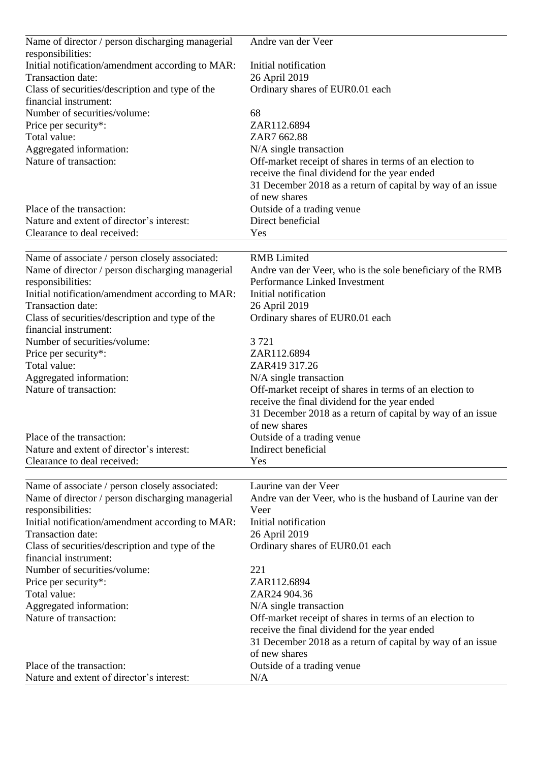| Name of director / person discharging managerial  | Andre van der Veer                                                                |
|---------------------------------------------------|-----------------------------------------------------------------------------------|
| responsibilities:                                 |                                                                                   |
| Initial notification/amendment according to MAR:  | Initial notification                                                              |
| Transaction date:                                 | 26 April 2019                                                                     |
| Class of securities/description and type of the   | Ordinary shares of EUR0.01 each                                                   |
| financial instrument:                             |                                                                                   |
| Number of securities/volume:                      | 68<br>ZAR112.6894                                                                 |
| Price per security*:<br>Total value:              | ZAR7 662.88                                                                       |
|                                                   |                                                                                   |
| Aggregated information:<br>Nature of transaction: | N/A single transaction<br>Off-market receipt of shares in terms of an election to |
|                                                   | receive the final dividend for the year ended                                     |
|                                                   | 31 December 2018 as a return of capital by way of an issue                        |
|                                                   | of new shares                                                                     |
| Place of the transaction:                         | Outside of a trading venue                                                        |
| Nature and extent of director's interest:         | Direct beneficial                                                                 |
| Clearance to deal received:                       | Yes                                                                               |
|                                                   |                                                                                   |
| Name of associate / person closely associated:    | <b>RMB</b> Limited                                                                |
| Name of director / person discharging managerial  | Andre van der Veer, who is the sole beneficiary of the RMB                        |
| responsibilities:                                 | Performance Linked Investment                                                     |
| Initial notification/amendment according to MAR:  | Initial notification                                                              |
| Transaction date:                                 | 26 April 2019                                                                     |
| Class of securities/description and type of the   | Ordinary shares of EUR0.01 each                                                   |
| financial instrument:                             |                                                                                   |
| Number of securities/volume:                      | 3 7 2 1                                                                           |
| Price per security*:                              | ZAR112.6894                                                                       |
| Total value:                                      | ZAR419 317.26                                                                     |
| Aggregated information:                           | $N/A$ single transaction                                                          |
| Nature of transaction:                            | Off-market receipt of shares in terms of an election to                           |
|                                                   | receive the final dividend for the year ended                                     |
|                                                   | 31 December 2018 as a return of capital by way of an issue                        |
|                                                   | of new shares                                                                     |
| Place of the transaction:                         | Outside of a trading venue                                                        |
| Nature and extent of director's interest:         | Indirect beneficial                                                               |
| Clearance to deal received:                       | Yes                                                                               |
| Name of associate / person closely associated:    | Laurine van der Veer                                                              |
| Name of director / person discharging managerial  | Andre van der Veer, who is the husband of Laurine van der                         |
| responsibilities:                                 | Veer                                                                              |
| Initial notification/amendment according to MAR:  | Initial notification                                                              |
| Transaction date:                                 | 26 April 2019                                                                     |
| Class of securities/description and type of the   | Ordinary shares of EUR0.01 each                                                   |
| financial instrument:                             |                                                                                   |
| Number of securities/volume:                      | 221                                                                               |
| Price per security*:                              | ZAR112.6894                                                                       |
| Total value:                                      | ZAR24 904.36                                                                      |
| Aggregated information:                           | N/A single transaction                                                            |
| Nature of transaction:                            | Off-market receipt of shares in terms of an election to                           |
|                                                   | receive the final dividend for the year ended                                     |
|                                                   | 31 December 2018 as a return of capital by way of an issue                        |
|                                                   | of new shares                                                                     |
| Place of the transaction:                         | Outside of a trading venue                                                        |
| Nature and extent of director's interest:         | N/A                                                                               |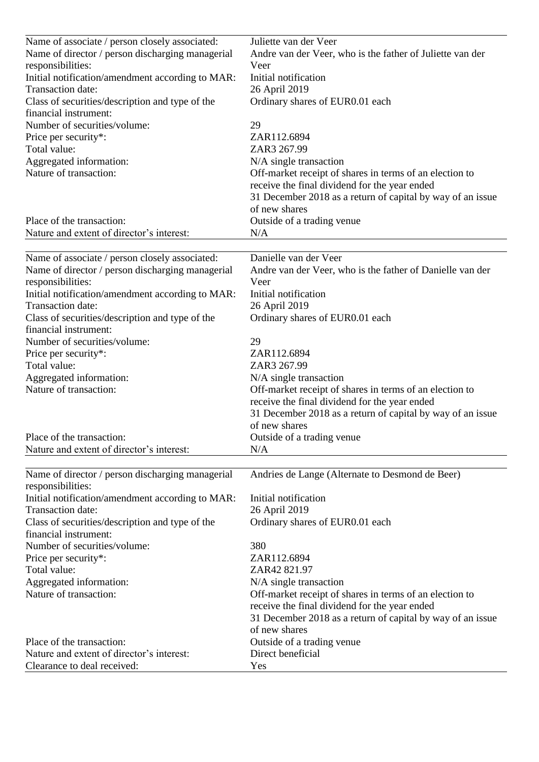| Name of associate / person closely associated:                           | Juliette van der Veer                                      |
|--------------------------------------------------------------------------|------------------------------------------------------------|
| Name of director / person discharging managerial                         | Andre van der Veer, who is the father of Juliette van der  |
| responsibilities:                                                        | Veer                                                       |
| Initial notification/amendment according to MAR:                         | Initial notification                                       |
| Transaction date:                                                        | 26 April 2019                                              |
| Class of securities/description and type of the                          | Ordinary shares of EUR0.01 each                            |
| financial instrument:                                                    |                                                            |
| Number of securities/volume:                                             | 29                                                         |
| Price per security*:                                                     | ZAR112.6894                                                |
| Total value:                                                             | ZAR3 267.99                                                |
| Aggregated information:                                                  | N/A single transaction                                     |
| Nature of transaction:                                                   | Off-market receipt of shares in terms of an election to    |
|                                                                          | receive the final dividend for the year ended              |
|                                                                          | 31 December 2018 as a return of capital by way of an issue |
|                                                                          | of new shares                                              |
| Place of the transaction:                                                | Outside of a trading venue                                 |
| Nature and extent of director's interest:                                | N/A                                                        |
|                                                                          |                                                            |
| Name of associate / person closely associated:                           | Danielle van der Veer                                      |
| Name of director / person discharging managerial                         | Andre van der Veer, who is the father of Danielle van der  |
| responsibilities:                                                        | Veer                                                       |
| Initial notification/amendment according to MAR:                         | Initial notification                                       |
| Transaction date:                                                        | 26 April 2019                                              |
| Class of securities/description and type of the<br>financial instrument: | Ordinary shares of EUR0.01 each                            |
| Number of securities/volume:                                             | 29                                                         |
| Price per security*:                                                     | ZAR112.6894                                                |
| Total value:                                                             | ZAR3 267.99                                                |
| Aggregated information:                                                  | $N/A$ single transaction                                   |
| Nature of transaction:                                                   | Off-market receipt of shares in terms of an election to    |
|                                                                          | receive the final dividend for the year ended              |
|                                                                          | 31 December 2018 as a return of capital by way of an issue |
|                                                                          | of new shares                                              |
| Place of the transaction:                                                | Outside of a trading venue                                 |
| Nature and extent of director's interest:                                | N/A                                                        |
|                                                                          |                                                            |
| Name of director / person discharging managerial                         | Andries de Lange (Alternate to Desmond de Beer)            |
| responsibilities:                                                        |                                                            |
| Initial notification/amendment according to MAR:                         | Initial notification                                       |
| Transaction date:                                                        | 26 April 2019                                              |
| Class of securities/description and type of the                          | Ordinary shares of EUR0.01 each                            |
| financial instrument:                                                    |                                                            |
| Number of securities/volume:                                             | 380                                                        |
| Price per security*:                                                     | ZAR112.6894                                                |
| Total value:                                                             | ZAR42 821.97                                               |
| Aggregated information:                                                  | N/A single transaction                                     |
| Nature of transaction:                                                   | Off-market receipt of shares in terms of an election to    |
|                                                                          | receive the final dividend for the year ended              |
|                                                                          | 31 December 2018 as a return of capital by way of an issue |
|                                                                          | of new shares                                              |
| Place of the transaction:                                                | Outside of a trading venue                                 |
| Nature and extent of director's interest:                                | Direct beneficial                                          |
| Clearance to deal received:                                              | Yes                                                        |